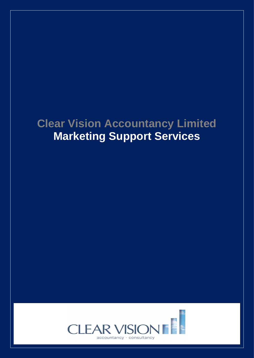## **Clear Vision Accountancy Limited Marketing Support Services**

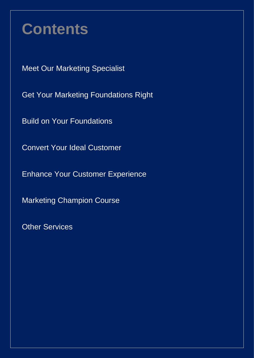# **Contents**

Meet Our Marketing Specialist

Get Your Marketing Foundations Right

Build on Your Foundations

Convert Your Ideal Customer

Enhance Your Customer Experience

Marketing Champion Course

Other Services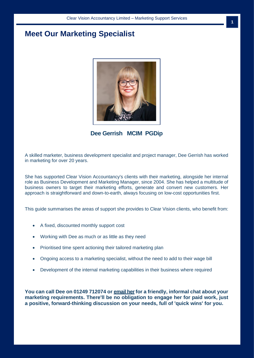## **Meet Our Marketing Specialist**



**Dee Gerrish MCIM PGDip**

A skilled marketer, business development specialist and project manager, Dee Gerrish has worked in marketing for over 20 years.

She has supported Clear Vision Accountancy's clients with their marketing, alongside her internal role as Business Development and Marketing Manager, since 2004. She has helped a multitude of business owners to target their marketing efforts, generate and convert new customers. Her approach is straightforward and down-to-earth, always focusing on low-cost opportunities first.

This guide summarises the areas of support she provides to Clear Vision clients, who benefit from:

- A fixed, discounted monthly support cost
- Working with Dee as much or as little as they need
- Prioritised time spent actioning their tailored marketing plan
- Ongoing access to a marketing specialist, without the need to add to their wage bill
- Development of the internal marketing capabilities in their business where required

**You can call Dee on 01249 712074 or [email her](mailto:dee.gerrish@cvag.co.uk)for a friendly, informal chat about your marketing requirements. There'll be no obligation to engage her for paid work, just a positive, forward-thinking discussion on your needs, full of 'quick wins' for you.**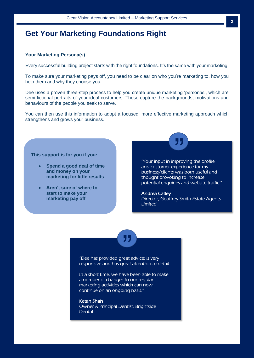## **Get Your Marketing Foundations Right**

#### **Your Marketing Persona(s)**

Every successful building project starts with the right foundations. It's the same with your marketing.

To make sure your marketing pays off, you need to be clear on who you're marketing to, how you help them and why they choose you.

Dee uses a proven three-step process to help you create unique marketing 'personas', which are semi-fictional portraits of your ideal customers. These capture the backgrounds, motivations and behaviours of the people you seek to serve.

You can then use this information to adopt a focused, more effective marketing approach which strengthens and grows your business.

#### **This support is for you if you:**

- **Spend a good deal of time and money on your marketing for little results**
- **Aren't sure of where to start to make your marketing pay off**

**and gain clarity and control** 

"Your input in improving the profile and customer experience for my business/clients was both useful and thought provoking to increase potential enquiries and website traffic."

"

#### Andrea Catley

Director, Geoffrey Smith Estate Agents Limited

<u>"</u>

"Dee has provided great advice; is very responsive and has great attention to detail.

In a short time, we have been able to make a number of changes to our regular marketing activities which can now continue on an ongoing basis."

#### Ketan Shah

Owner & Principal Dentist, Brightside **Dental**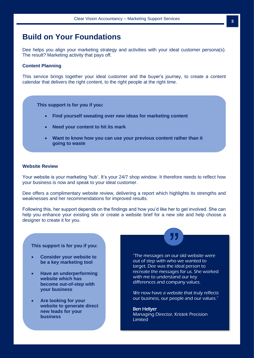## **Build on Your Foundations**

Dee helps you align your marketing strategy and activities with your ideal customer persona(s). The result? Marketing activity that pays off.

#### **Content Planning**

This service brings together your ideal customer and the buyer's journey, to create a content calendar that delivers the right content, to the right people at the right time.

**This support is for you if you:**

- **Find yourself sweating over new ideas for marketing content**
- **Need your content to hit its mark**
- **Want to know how you can use your previous content rather than it going to waste**

#### **Website Review**

Your website is your marketing 'hub'. It's your 24/7 shop window. It therefore needs to reflect how your business is now and speak to your ideal customer.

Dee offers a complimentary website review, delivering a report which highlights its strengths and weaknesses and her recommendations for improved results.

Following this, her support depends on the findings and how you'd like her to get involved. She can help you enhance your existing site or create a website brief for a new site and help choose a designer to create it for you. <u>"</u>

#### **This support is for you if you:**

- **Consider your website to be a key marketing tool**
- **Have an underperforming website which has become out-of-step with your business**
- **Are looking for your website to generate direct new leads for your business**

"The messages on our old website were out of step with who we wanted to target. Dee was the ideal person to recreate the messages for us. She worked with me to understand our key differences and company values.

We now have a website that truly reflects our business, our people and our values."

Ben Hellyer Managing Director, Kristek Precision Limited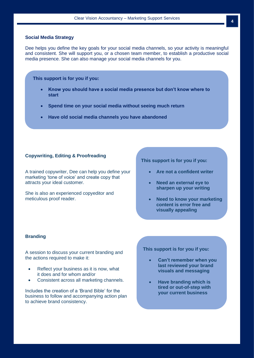#### **Social Media Strategy**

Dee helps you define the key goals for your social media channels, so your activity is meaningful and consistent. She will support you, or a chosen team member, to establish a productive social media presence. She can also manage your social media channels for you.

**This support is for you if you:**

- **Know you should have a social media presence but don't know where to start**
- **Spend time on your social media without seeing much return**
- **Have old social media channels you have abandoned**

#### **Copywriting, Editing & Proofreading**

marketing 'tone of voice' and create copy that A trained copywriter, Dee can help you define your attracts your ideal customer.

She is also an experienced copyeditor and meticulous proof reader.

#### **This support is for you if you:**

- **Are not a confident writer**
- **Need an external eye to sharpen up your writing**
- **Need to know your marketing content is error free and visually appealing**

#### **Branding**

A session to discuss your current branding and the actions required to make it:

- Reflect your business as it is now, what it does and for whom and/or
- Consistent across all marketing channels.

Includes the creation of a 'Brand Bible' for the business to follow and accompanying action plan to achieve brand consistency.

**This support is for you if you:**

- **Can't remember when you last reviewed your brand visuals and messaging**
- **Have branding which is tired or out-of-step with your current business**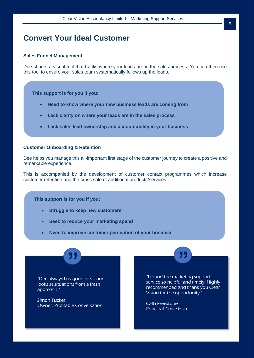## **Convert Your Ideal Customer**

#### **Sales Funnel Management**

Dee shares a visual tool that tracks where your leads are in the sales process. You can then use this tool to ensure your sales team systematically follows up the leads.

**This support is for you if you:**

- **Need to know where your new business leads are coming from**
- **Lack clarity on where your leads are in the sales process**
- **Lack sales lead ownership and accountability in your business**

#### **Customer Onboarding & Retention**

Dee helps you manage this all-important first stage of the customer journey to create a positive and remarkable experience.

This is accompanied by the development of customer contact programmes which increase customer retention and the cross sale of additional products/services.

**This support is for you if you:**

• **Struggle to keep new customers**

<u>"</u>

- **Seek to reduce your marketing spend**
- **Need to improve customer perception of your business**

"Dee always has good ideas and looks at situations from a fresh approach."

Simon Tucker Owner, Profitable Conversation "I found the marketing support service so helpful and timely. Highly recommended and thank you Clear Vision for the opportunity."

—<br>"<br>"

Cath Freestone Principal, Smile Hub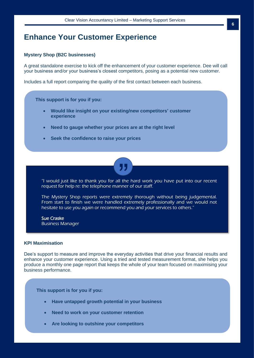## **Enhance Your Customer Experience**

#### **Mystery Shop (B2C businesses)**

A great standalone exercise to kick off the enhancement of your customer experience. Dee will call your business and/or your business's closest competitors, posing as a potential new customer.

Includes a full report comparing the quality of the first contact between each business.

**This support is for you if you:**

- **Would like insight on your existing/new competitors' customer experience**
- **Need to gauge whether your prices are at the right level**
- **Seek the confidence to raise your prices**



"I would just like to thank you for all the hard work you have put into our recent request for help re: the telephone manner of our staff.

The Mystery Shop reports were extremely thorough without being judgemental. From start to finish we were handled extremely professionally and we would not hesitate to use you again or recommend you and your services to others."

Sue Craske Business Manager

#### **KPI Maximisation**

Dee's support to measure and improve the everyday activities that drive your financial results and enhance your customer experience. Using a tried and tested measurement format, she helps you produce a monthly one page report that keeps the whole of your team focused on maximising your business performance.

**This support is for you if you:**

- **Have untapped growth potential in your business**
- **Need to work on your customer retention**
- **Are looking to outshine your competitors**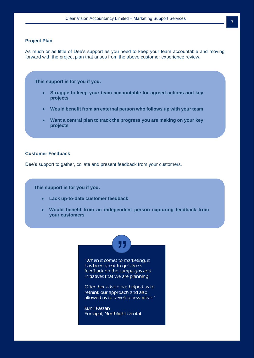#### **Project Plan**

As much or as little of Dee's support as you need to keep your team accountable and moving forward with the project plan that arises from the above customer experience review.

**This support is for you if you:**

- **Struggle to keep your team accountable for agreed actions and key projects**
- **Would benefit from an external person who follows up with your team**
- **Want a central plan to track the progress you are making on your key projects**

#### **Customer Feedback**

Dee's support to gather, collate and present feedback from your customers.

**This support is for you if you:**

- **Lack up-to-date customer feedback**
- **Would benefit from an independent person capturing feedback from your customers**

"<br>""

"When it comes to marketing, it has been great to get Dee's feedback on the campaigns and initiatives that we are planning.

Often her advice has helped us to rethink our approach and also allowed us to develop new ideas."

Sunil Passan Principal, Northlight Dental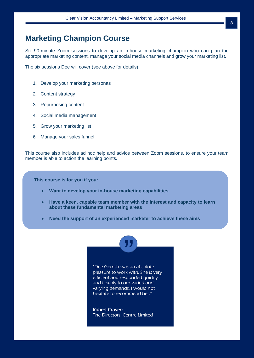## **Marketing Champion Course**

Six 90-minute Zoom sessions to develop an in-house marketing champion who can plan the appropriate marketing content, manage your social media channels and grow your marketing list.

The six sessions Dee will cover (see above for details):

- 1. Develop your marketing personas
- 2. Content strategy
- 3. Repurposing content
- 4. Social media management
- 5. Grow your marketing list
- 6. Manage your sales funnel

This course also includes ad hoc help and advice between Zoom sessions, to ensure your team member is able to action the learning points.

**This course is for you if you:**

- **Want to develop your in-house marketing capabilities**
- **Have a keen, capable team member with the interest and capacity to learn about these fundamental marketing areas**

-<br>"<br>"

• **Need the support of an experienced marketer to achieve these aims**



Robert Craven The Directors' Centre Limited